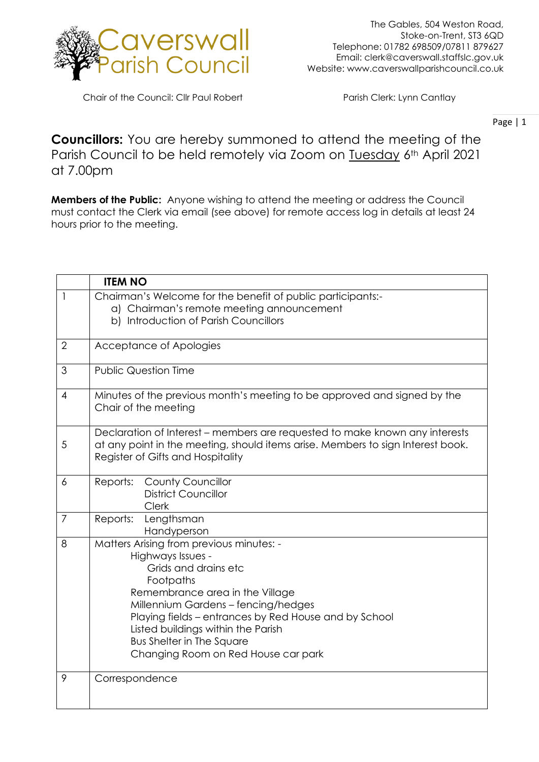

Chair of the Council: Cllr Paul Robert Parish Clerk: Lynn Cantlay

Page | 1

**Councillors:** You are hereby summoned to attend the meeting of the Parish Council to be held remotely via Zoom on Tuesday 6th April 2021 at 7.00pm

**Members of the Public:** Anyone wishing to attend the meeting or address the Council must contact the Clerk via email (see above) for remote access log in details at least 24 hours prior to the meeting.

|                | <b>ITEM NO</b>                                                                                                                                                                                                                                                                                                                                         |
|----------------|--------------------------------------------------------------------------------------------------------------------------------------------------------------------------------------------------------------------------------------------------------------------------------------------------------------------------------------------------------|
| $\mathbf{1}$   | Chairman's Welcome for the benefit of public participants:-<br>a) Chairman's remote meeting announcement<br>b) Introduction of Parish Councillors                                                                                                                                                                                                      |
| $\overline{2}$ | Acceptance of Apologies                                                                                                                                                                                                                                                                                                                                |
| 3              | <b>Public Question Time</b>                                                                                                                                                                                                                                                                                                                            |
| $\overline{4}$ | Minutes of the previous month's meeting to be approved and signed by the<br>Chair of the meeting                                                                                                                                                                                                                                                       |
| 5              | Declaration of Interest – members are requested to make known any interests<br>at any point in the meeting, should items arise. Members to sign Interest book.<br>Register of Gifts and Hospitality                                                                                                                                                    |
| 6              | Reports: County Councillor<br><b>District Councillor</b><br><b>Clerk</b>                                                                                                                                                                                                                                                                               |
| $\overline{7}$ | Reports:<br>Lengthsman<br>Handyperson                                                                                                                                                                                                                                                                                                                  |
| 8              | Matters Arising from previous minutes: -<br>Highways Issues -<br>Grids and drains etc<br>Footpaths<br>Remembrance area in the Village<br>Millennium Gardens - fencing/hedges<br>Playing fields - entrances by Red House and by School<br>Listed buildings within the Parish<br><b>Bus Shelter in The Square</b><br>Changing Room on Red House car park |
| 9              | Correspondence                                                                                                                                                                                                                                                                                                                                         |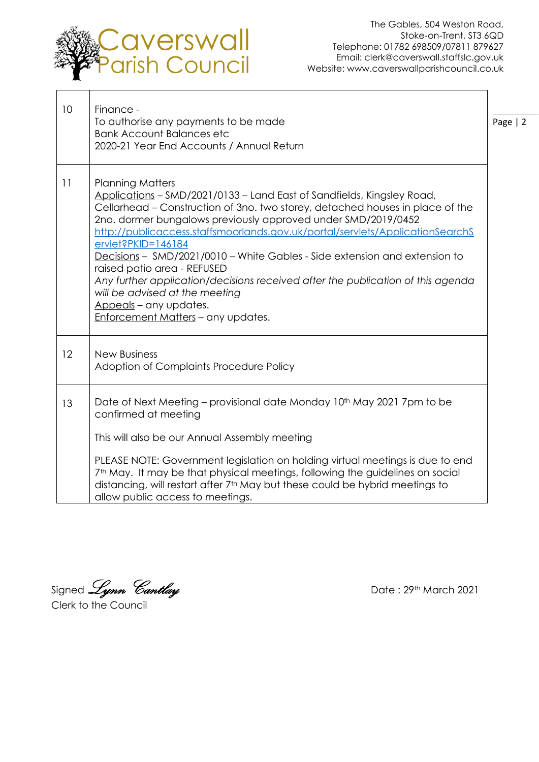

٦

| 10 | Finance -<br>To authorise any payments to be made<br><b>Bank Account Balances etc</b><br>2020-21 Year End Accounts / Annual Return                                                                                                                                                                                                                                                                                                                                                                                                                                                                                                                           | Page $ 2$ |
|----|--------------------------------------------------------------------------------------------------------------------------------------------------------------------------------------------------------------------------------------------------------------------------------------------------------------------------------------------------------------------------------------------------------------------------------------------------------------------------------------------------------------------------------------------------------------------------------------------------------------------------------------------------------------|-----------|
| 11 | <b>Planning Matters</b><br>Applications - SMD/2021/0133 - Land East of Sandfields, Kingsley Road,<br>Cellarhead – Construction of 3no. two storey, detached houses in place of the<br>2no. dormer bungalows previously approved under SMD/2019/0452<br>http://publicaccess.staffsmoorlands.gov.uk/portal/servlets/ApplicationSearchS<br>ervlet?PKID=146184<br>Decisions - SMD/2021/0010 - White Gables - Side extension and extension to<br>raised patio area - REFUSED<br>Any further application/decisions received after the publication of this agenda<br>will be advised at the meeting<br>Appeals - any updates.<br>Enforcement Matters - any updates. |           |
| 12 | <b>New Business</b><br>Adoption of Complaints Procedure Policy                                                                                                                                                                                                                                                                                                                                                                                                                                                                                                                                                                                               |           |
| 13 | Date of Next Meeting – provisional date Monday 10 <sup>th</sup> May 2021 7pm to be<br>confirmed at meeting<br>This will also be our Annual Assembly meeting<br>PLEASE NOTE: Government legislation on holding virtual meetings is due to end<br>7 <sup>th</sup> May. It may be that physical meetings, following the guidelines on social<br>distancing, will restart after 7 <sup>th</sup> May but these could be hybrid meetings to<br>allow public access to meetings.                                                                                                                                                                                    |           |

Signed *Lynn Cantlay* and the Second Date : 29th March 2021

Clerk to the Council  $\overline{a}$